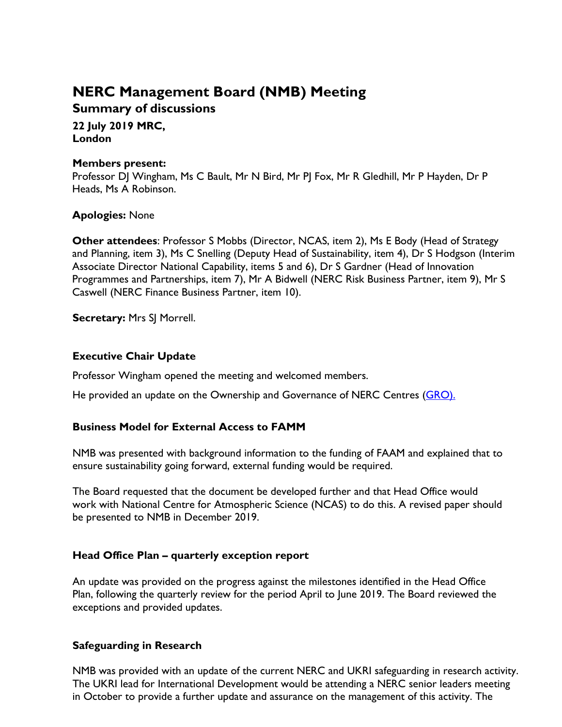# **NERC Management Board (NMB) Meeting**

**Summary of discussions**

**22 July 2019 MRC, London**

#### **Members present:**

Professor DJ Wingham, Ms C Bault, Mr N Bird, Mr PJ Fox, Mr R Gledhill, Mr P Hayden, Dr P Heads, Ms A Robinson.

### **Apologies:** None

**Other attendees**: Professor S Mobbs (Director, NCAS, item 2), Ms E Body (Head of Strategy and Planning, item 3), Ms C Snelling (Deputy Head of Sustainability, item 4), Dr S Hodgson (Interim Associate Director National Capability, items 5 and 6), Dr S Gardner (Head of Innovation Programmes and Partnerships, item 7), Mr A Bidwell (NERC Risk Business Partner, item 9), Mr S Caswell (NERC Finance Business Partner, item 10).

**Secretary:** Mrs SJ Morrell.

## **Executive Chair Update**

Professor Wingham opened the meeting and welcomed members.

He provided an update on the Ownership and Governance of NERC Centres [\(GRO\)](https://nerc.ukri.org/about/whatwedo/engage/engagement/governance/).

### **Business Model for External Access to FAMM**

NMB was presented with background information to the funding of FAAM and explained that to ensure sustainability going forward, external funding would be required.

The Board requested that the document be developed further and that Head Office would work with National Centre for Atmospheric Science (NCAS) to do this. A revised paper should be presented to NMB in December 2019.

### **Head Office Plan – quarterly exception report**

An update was provided on the progress against the milestones identified in the Head Office Plan, following the quarterly review for the period April to June 2019. The Board reviewed the exceptions and provided updates.

### **Safeguarding in Research**

NMB was provided with an update of the current NERC and UKRI safeguarding in research activity. The UKRI lead for International Development would be attending a NERC senior leaders meeting in October to provide a further update and assurance on the management of this activity. The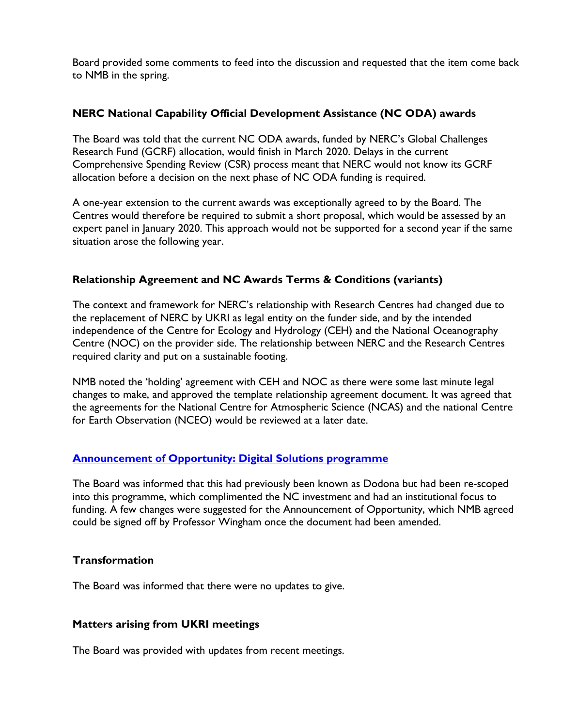Board provided some comments to feed into the discussion and requested that the item come back to NMB in the spring.

### **NERC National Capability Official Development Assistance (NC ODA) awards**

The Board was told that the current NC ODA awards, funded by NERC's Global Challenges Research Fund (GCRF) allocation, would finish in March 2020. Delays in the current Comprehensive Spending Review (CSR) process meant that NERC would not know its GCRF allocation before a decision on the next phase of NC ODA funding is required.

A one-year extension to the current awards was exceptionally agreed to by the Board. The Centres would therefore be required to submit a short proposal, which would be assessed by an expert panel in January 2020. This approach would not be supported for a second year if the same situation arose the following year.

### **Relationship Agreement and NC Awards Terms & Conditions (variants)**

The context and framework for NERC's relationship with Research Centres had changed due to the replacement of NERC by UKRI as legal entity on the funder side, and by the intended independence of the Centre for Ecology and Hydrology (CEH) and the National Oceanography Centre (NOC) on the provider side. The relationship between NERC and the Research Centres required clarity and put on a sustainable footing.

NMB noted the 'holding' agreement with CEH and NOC as there were some last minute legal changes to make, and approved the template relationship agreement document. It was agreed that the agreements for the National Centre for Atmospheric Science (NCAS) and the national Centre for Earth Observation (NCEO) would be reviewed at a later date.

### **[Announcement of Opportunity: Digital Solutions programme](https://nerc.ukri.org/innovation/activities/environmentaldata/digitalsolutions/news/ao-digital-solutions/)**

The Board was informed that this had previously been known as Dodona but had been re-scoped into this programme, which complimented the NC investment and had an institutional focus to funding. A few changes were suggested for the Announcement of Opportunity, which NMB agreed could be signed off by Professor Wingham once the document had been amended.

### **Transformation**

The Board was informed that there were no updates to give.

### **Matters arising from UKRI meetings**

The Board was provided with updates from recent meetings.